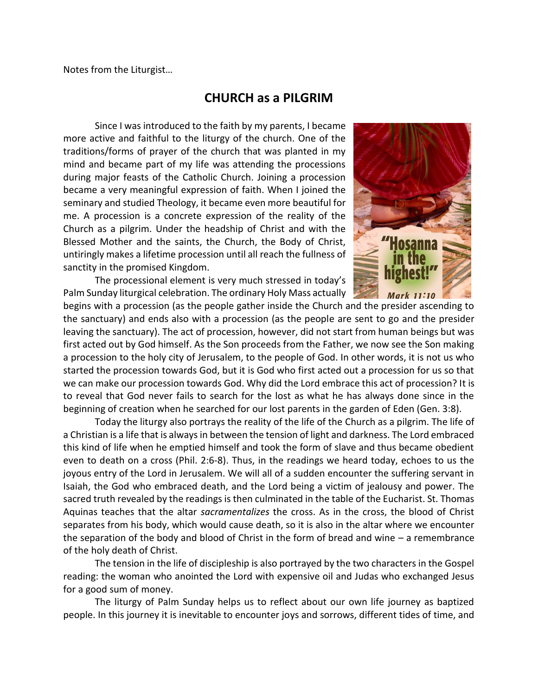Notes from the Liturgist…

## **CHURCH as a PILGRIM**

Since I was introduced to the faith by my parents, I became more active and faithful to the liturgy of the church. One of the traditions/forms of prayer of the church that was planted in my mind and became part of my life was attending the processions during major feasts of the Catholic Church. Joining a procession became a very meaningful expression of faith. When I joined the seminary and studied Theology, it became even more beautiful for me. A procession is a concrete expression of the reality of the Church as a pilgrim. Under the headship of Christ and with the Blessed Mother and the saints, the Church, the Body of Christ, untiringly makes a lifetime procession until all reach the fullness of sanctity in the promised Kingdom.

The processional element is very much stressed in today's Palm Sunday liturgical celebration. The ordinary Holy Mass actually



begins with a procession (as the people gather inside the Church and the presider ascending to the sanctuary) and ends also with a procession (as the people are sent to go and the presider leaving the sanctuary). The act of procession, however, did not start from human beings but was first acted out by God himself. As the Son proceeds from the Father, we now see the Son making a procession to the holy city of Jerusalem, to the people of God. In other words, it is not us who started the procession towards God, but it is God who first acted out a procession for us so that we can make our procession towards God. Why did the Lord embrace this act of procession? It is to reveal that God never fails to search for the lost as what he has always done since in the beginning of creation when he searched for our lost parents in the garden of Eden (Gen. 3:8).

Today the liturgy also portrays the reality of the life of the Church as a pilgrim. The life of a Christian is a life that is always in between the tension of light and darkness. The Lord embraced this kind of life when he emptied himself and took the form of slave and thus became obedient even to death on a cross (Phil. 2:6-8). Thus, in the readings we heard today, echoes to us the joyous entry of the Lord in Jerusalem. We will all of a sudden encounter the suffering servant in Isaiah, the God who embraced death, and the Lord being a victim of jealousy and power. The sacred truth revealed by the readings is then culminated in the table of the Eucharist. St. Thomas Aquinas teaches that the altar *sacramentalizes* the cross. As in the cross, the blood of Christ separates from his body, which would cause death, so it is also in the altar where we encounter the separation of the body and blood of Christ in the form of bread and wine – a remembrance of the holy death of Christ.

The tension in the life of discipleship is also portrayed by the two characters in the Gospel reading: the woman who anointed the Lord with expensive oil and Judas who exchanged Jesus for a good sum of money.

The liturgy of Palm Sunday helps us to reflect about our own life journey as baptized people. In this journey it is inevitable to encounter joys and sorrows, different tides of time, and